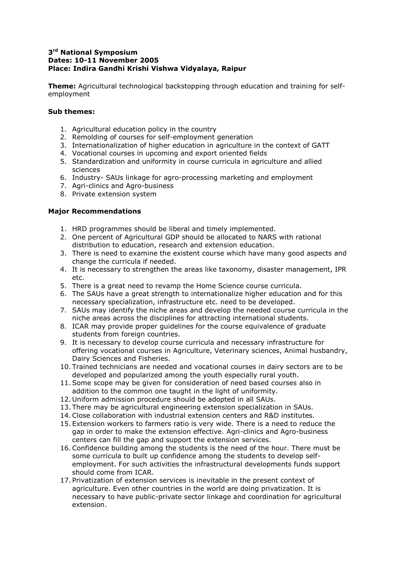## **3 rd National Symposium Dates: 10-11 November 2005 Place: Indira Gandhi Krishi Vishwa Vidyalaya, Raipur**

**Theme:** Agricultural technological backstopping through education and training for selfemployment

## **Sub themes:**

- 1. Agricultural education policy in the country
- 2. Remolding of courses for self-employment generation
- 3. Internationalization of higher education in agriculture in the context of GATT
- 4. Vocational courses in upcoming and export oriented fields
- 5. Standardization and uniformity in course curricula in agriculture and allied sciences
- 6. Industry- SAUs linkage for agro-processing marketing and employment
- 7. Agri-clinics and Agro-business
- 8. Private extension system

## **Major Recommendations**

- 1. HRD programmes should be liberal and timely implemented.
- 2. One percent of Agricultural GDP should be allocated to NARS with rational distribution to education, research and extension education.
- 3. There is need to examine the existent course which have many good aspects and change the curricula if needed.
- 4. It is necessary to strengthen the areas like taxonomy, disaster management, IPR etc.
- 5. There is a great need to revamp the Home Science course curricula.
- 6. The SAUs have a great strength to internationalize higher education and for this necessary specialization, infrastructure etc. need to be developed.
- 7. SAUs may identify the niche areas and develop the needed course curricula in the niche areas across the disciplines for attracting international students.
- 8. ICAR may provide proper guidelines for the course equivalence of graduate students from foreign countries.
- 9. It is necessary to develop course curricula and necessary infrastructure for offering vocational courses in Agriculture, Veterinary sciences, Animal husbandry, Dairy Sciences and Fisheries.
- 10. Trained technicians are needed and vocational courses in dairy sectors are to be developed and popularized among the youth especially rural youth.
- 11.Some scope may be given for consideration of need based courses also in addition to the common one taught in the light of uniformity.
- 12. Uniform admission procedure should be adopted in all SAUs.
- 13. There may be agricultural engineering extension specialization in SAUs.
- 14.Close collaboration with industrial extension centers and R&D institutes.
- 15. Extension workers to farmers ratio is very wide. There is a need to reduce the gap in order to make the extension effective. Agri-clinics and Agro-business centers can fill the gap and support the extension services.
- 16.Confidence building among the students is the need of the hour. There must be some curricula to built up confidence among the students to develop selfemployment. For such activities the infrastructural developments funds support should come from ICAR.
- 17. Privatization of extension services is inevitable in the present context of agriculture. Even other countries in the world are doing privatization. It is necessary to have public-private sector linkage and coordination for agricultural extension.